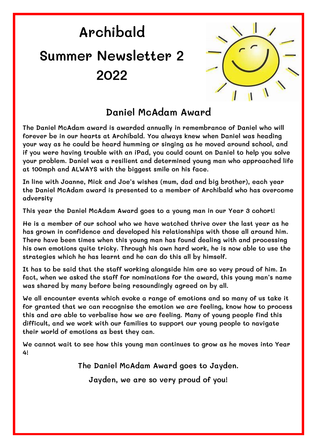## **Archibald Summer Newsletter 2 2022**



## **Daniel McAdam Award**

**The Daniel McAdam award is awarded annually in remembrance of Daniel who will forever be in our hearts at Archibald. You always knew when Daniel was heading your way as he could be heard humming or singing as he moved around school, and if you were having trouble with an iPad, you could count on Daniel to help you solve your problem. Daniel was a resilient and determined young man who approached life at 100mph and ALWAYS with the biggest smile on his face.** 

**In line with Joanne, Mick and Joe's wishes (mum, dad and big brother), each year the Daniel McAdam award is presented to a member of Archibald who has overcome adversity**

**This year the Daniel McAdam Award goes to a young man in our Year 3 cohort!**

**He is a member of our school who we have watched thrive over the last year as he has grown in confidence and developed his relationships with those all around him. There have been times when this young man has found dealing with and processing his own emotions quite tricky. Through his own hard work, he is now able to use the strategies which he has learnt and he can do this all by himself.** 

**It has to be said that the staff working alongside him are so very proud of him. In fact, when we asked the staff for nominations for the award, this young man's name was shared by many before being resoundingly agreed on by all.**

**We all encounter events which evoke a range of emotions and so many of us take it for granted that we can recognise the emotion we are feeling, know how to process this and are able to verbalise how we are feeling. Many of young people find this difficult, and we work with our families to support our young people to navigate their world of emotions as best they can.**

**We cannot wait to see how this young man continues to grow as he moves into Year 4!**

**The Daniel McAdam Award goes to Jayden.**

**Jayden, we are so very proud of you!**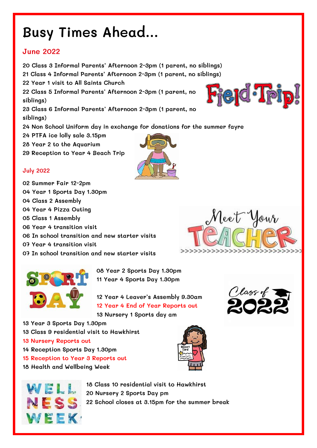## **Busy Times Ahead…**

#### **June 2022**

**20 Class 3 Informal Parents' Afternoon 2-3pm (1 parent, no siblings) 21 Class 4 Informal Parents' Afternoon 2-3pm (1 parent, no siblings) 22 Year 1 visit to All Saints Church 22 Class 5 Informal Parents' Afternoon 2-3pm (1 parent, no siblings) 23 Class 6 Informal Parents' Afternoon 2-3pm (1 parent, no siblings) 24 Non School Uniform day in exchange for donations for the summer fayre 24 PTFA ice lolly sale 3.15pm 28 Year 2 to the Aquarium**

**29 Reception to Year 4 Beach Trip**

#### **July 2022**

**02 Summer Fair 12-2pm 04 Year 1 Sports Day 1.30pm 04 Class 2 Assembly 04 Year 4 Pizza Outing 05 Class 1 Assembly 06 Year 4 transition visit 06 In school transition and new starter visits 07 Year 4 transition visit 07 In school transition and new starter visits**



**08 Year 2 Sports Day 1.30pm 11 Year 4 Sports Day 1.30pm**

**12 Year 4 Leaver's Assembly 9.30am 12 Year 4 End of Year Reports out 13 Nursery 1 Sports day am**

**13 Year 3 Sports Day 1.30pm 13 Class 9 residential visit to Hawkhirst 13 Nursery Reports out 14 Reception Sports Day 1.30pm 15 Reception to Year 3 Reports out 18 Health and Wellbeing Week**











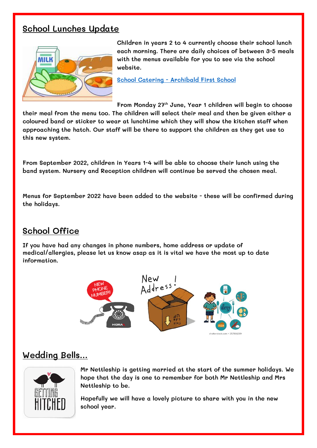## **School Lunches Update**



**Children in years 2 to 4 currently choose their school lunch each morning. There are daily choices of between 3-5 meals with the menus available for you to see via the school website.**

**School Catering - [Archibald First School](https://www.archibaldfirstschool.co.uk/parents-information/school-catering/)**

**From Monday 27th June, Year 1 children will begin to choose their meal from the menu too. The children will select their meal and then be given either a coloured band or sticker to wear at lunchtime which they will show the kitchen staff when approaching the hatch. Our staff will be there to support the children as they get use to this new system.**

**From September 2022, children in Years 1-4 will be able to choose their lunch using the band system. Nursery and Reception children will continue be served the chosen meal.**

**Menus for September 2022 have been added to the website - these will be confirmed during the holidays.**

### **School Office**

**If you have had any changes in phone numbers, home address or update of medical/allergies, please let us know asap as it is vital we have the most up to date information.**



## **Wedding Bells…**



**Mr Nettleship is getting married at the start of the summer holidays. We hope that the day is one to remember for both Mr Nettleship and Mrs Nettleship to be.**

**Hopefully we will have a lovely picture to share with you in the new school year.**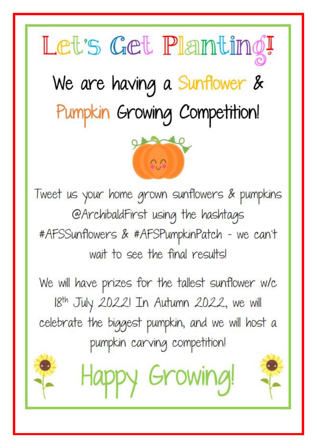# Let's Get Planting!

We are having a Sunflower & Pumpkin Growing Competition!



Tweet us your home grown sunflowers & pumpkins @ArchibaldFirst using the hashtags #AFSSunflowers & #AFSPumpkinPatch - we can't wait to see the final results!

We will have prizes for the tallest sunflower w/c 18th July 2022! In Autumn 2022, we will celebrate the biggest pumpkin, and we will host a pumpkin carving competition!

Happy Growing!

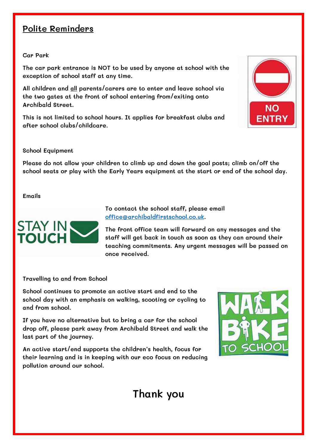## **Polite Reminders**

**Car Park**

**The car park entrance is NOT to be used by anyone at school with the exception of school staff at any time.**

**All children and all parents/carers are to enter and leave school via the two gates at the front of school entering from/exiting onto Archibald Street.**

**This is not limited to school hours. It applies for breakfast clubs and after school clubs/childcare.**



#### **School Equipment**

**Please do not allow your children to climb up and down the goal posts; climb on/off the school seats or play with the Early Years equipment at the start or end of the school day.**

**Emails**



**To contact the school staff, please email [office@archibaldfirstschool.co.uk.](mailto:office@archibaldfirstschool.co.uk)** 

**The front office team will forward on any messages and the staff will get back in touch as soon as they can around their teaching commitments. Any urgent messages will be passed on once received.** 

**Travelling to and from School**

**School continues to promote an active start and end to the school day with an emphasis on walking, scooting or cycling to and from school.**

**If you have no alternative but to bring a car for the school drop off, please park away from Archibald Street and walk the last part of the journey.**

**An active start/end supports the children's health, focus for their learning and is in keeping with our eco focus on reducing pollution around our school.**



## **Thank you**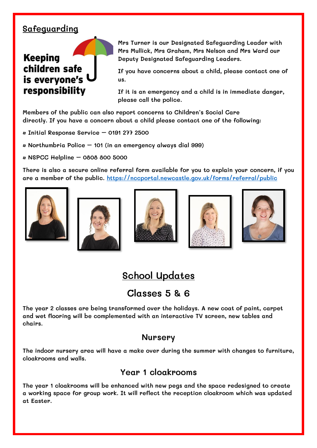## **Safeguarding**

## **Keeping** children safe is everyone's responsibility

**Mrs Turner is our Designated Safeguarding Leader with Mrs Mullick, Mrs Graham, Mrs Nelson and Mrs Ward our Deputy Designated Safeguarding Leaders.** 

**If you have concerns about a child, please contact one of us.** 

**If it is an emergency and a child is in immediate danger, please call the police.** 

**Members of the public can also report concerns to Children's Social Care directly. If you have a concern about a child please contact one of the following:** 

**• Initial Response Service – 0191 277 2500** 

- **Northumbria Police – 101 (in an emergency always dial 999)**
- **NSPCC Helpline – 0808 800 5000**

**There is also a secure online referral form available for you to explain your concern, if you are a member of the public.<https://nccportal.newcastle.gov.uk/forms/referral/public>**











## **School Updates**

## **Classes 5 & 6**

**The year 2 classes are being transformed over the holidays. A new coat of paint, carpet and wet flooring will be complemented with an interactive TV screen, new tables and chairs.**

#### **Nursery**

**The indoor nursery area will have a make over during the summer with changes to furniture, cloakrooms and walls.**

### **Year 1 cloakrooms**

**The year 1 cloakrooms will be enhanced with new pegs and the space redesigned to create a working space for group work. It will reflect the reception cloakroom which was updated at Easter.**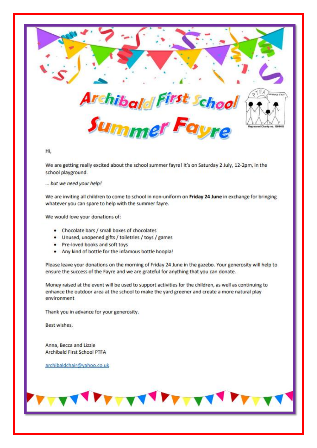

Hi.

We are getting really excited about the school summer fayre! It's on Saturday 2 July, 12-2pm, in the school playground.

... but we need your help!

We are inviting all children to come to school in non-uniform on Friday 24 June in exchange for bringing whatever you can spare to help with the summer fayre.

We would love your donations of:

- Chocolate bars / small boxes of chocolates
- Unused, unopened gifts / toiletries / toys / games
- Pre-loved books and soft toys
- . Any kind of bottle for the infamous bottle hoopla!

Please leave your donations on the morning of Friday 24 June in the gazebo. Your generosity will help to ensure the success of the Fayre and we are grateful for anything that you can donate.

Money raised at the event will be used to support activities for the children, as well as continuing to enhance the outdoor area at the school to make the yard greener and create a more natural play environment

Thank you in advance for your generosity.

Best wishes.

Anna, Becca and Lizzie **Archibald First School PTFA** 

archibaldchair@yahoo.co.uk

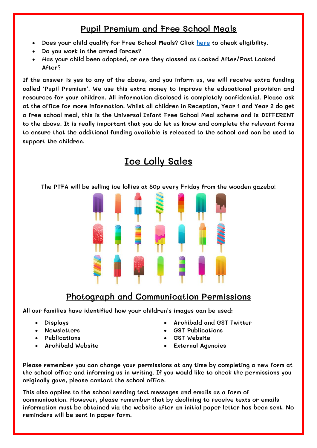## **Pupil Premium and Free School Meals**

- **Does your child qualify for Free School Meals? Click [here](https://www.gov.uk/apply-free-school-meals/newcastle-upon-tyne) to check eligibility.**
- **Do you work in the armed forces?**
- **Has your child been adopted, or are they classed as Looked After/Post Looked After?**

**If the answer is yes to any of the above, and you inform us, we will receive extra funding called 'Pupil Premium'. We use this extra money to improve the educational provision and resources for your children. All information disclosed is completely confidential. Please ask at the office for more information. Whilst all children in Reception, Year 1 and Year 2 do get a free school meal, this is the Universal Infant Free School Meal scheme and is DIFFERENT to the above. It is really important that you do let us know and complete the relevant forms to ensure that the additional funding available is released to the school and can be used to support the children.**

## **Ice Lolly Sales**

**The PTFA will be selling ice lollies at 50p every Friday from the wooden gazebo!**



## **Photograph and Communication Permissions**

**All our families have identified how your children's images can be used:**

- **Displays**
- **Newsletters**
- **Publications**
- **Archibald Website**
- **Archibald and GST Twitter**
- **GST Publications**
- **GST Website**
- **External Agencies**

**Please remember you can change your permissions at any time by completing a new form at the school office and informing us in writing. If you would like to check the permissions you originally gave, please contact the school office.**

**This also applies to the school sending text messages and emails as a form of communication. However, please remember that by declining to receive texts or emails information must be obtained via the website after an initial paper letter has been sent. No reminders will be sent in paper form.**